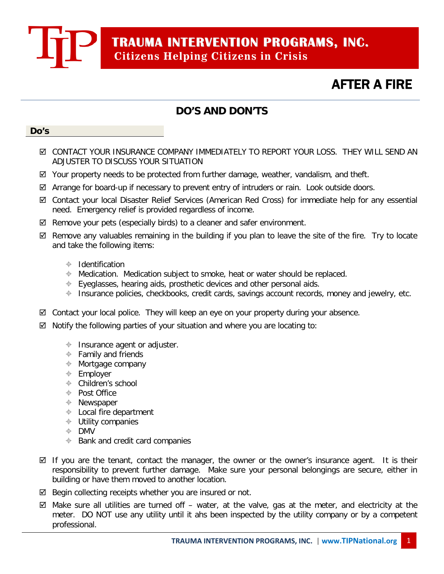**TRAUMA INTERVENTION PROGRAMS, INC. Citizens Helping Citizens in Crisis**

## AFTER A FIRE

 $\overline{a}$ 

### **DO'S AND DON'TS**

#### **Do's**

- CONTACT YOUR INSURANCE COMPANY IMMEDIATELY TO REPORT YOUR LOSS. THEY WILL SEND AN ADJUSTER TO DISCUSS YOUR SITUATION
- $\boxtimes$  Your property needs to be protected from further damage, weather, vandalism, and theft.
- Arrange for board-up if necessary to prevent entry of intruders or rain. Look outside doors.
- Contact your local Disaster Relief Services (American Red Cross) for immediate help for any essential need. Emergency relief is provided regardless of income.
- $\boxtimes$  Remove your pets (especially birds) to a cleaner and safer environment.
- $\boxtimes$  Remove any valuables remaining in the building if you plan to leave the site of the fire. Try to locate and take the following items:
	- $\triangleq$  Identification
	- $\triangleq$  Medication. Medication subject to smoke, heat or water should be replaced.
	- $\div$  Eyeglasses, hearing aids, prosthetic devices and other personal aids.
	- $\div$  Insurance policies, checkbooks, credit cards, savings account records, money and jewelry, etc.
- $\boxtimes$  Contact your local police. They will keep an eye on your property during your absence.
- $\boxtimes$  Notify the following parties of your situation and where you are locating to:
	- $\triangleq$  Insurance agent or adjuster.
	- $\triangleq$  Family and friends
	- $\triangleq$  Mortgage company
	- $\triangleq$  Employer
	- Children's school
	- $\div$  Post Office
	- $\triangleq$  Newspaper
	- $\triangleq$  Local fire department
	- $\triangleq$  Utility companies
	- **⊕** DMV
	- $\triangleq$  Bank and credit card companies
- $\boxtimes$  If you are the tenant, contact the manager, the owner or the owner's insurance agent. It is their responsibility to prevent further damage. Make sure your personal belongings are secure, either in building or have them moved to another location.
- $\boxtimes$  Begin collecting receipts whether you are insured or not.
- $\boxtimes$  Make sure all utilities are turned off water, at the valve, gas at the meter, and electricity at the meter. DO NOT use any utility until it ahs been inspected by the utility company or by a competent professional.